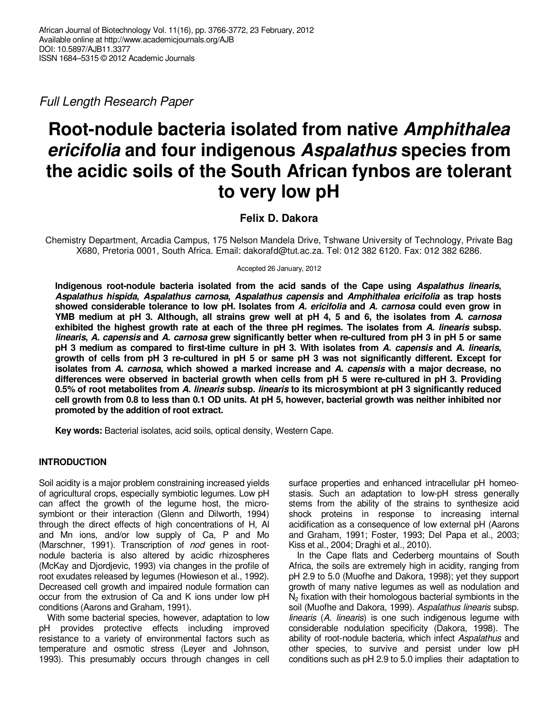Full Length Research Paper

# **Root-nodule bacteria isolated from native Amphithalea ericifolia and four indigenous Aspalathus species from the acidic soils of the South African fynbos are tolerant to very low pH**

# **Felix D. Dakora**

Chemistry Department, Arcadia Campus, 175 Nelson Mandela Drive, Tshwane University of Technology, Private Bag X680, Pretoria 0001, South Africa. Email: dakorafd@tut.ac.za. Tel: 012 382 6120. Fax: 012 382 6286.

Accepted 26 January, 2012

**Indigenous root-nodule bacteria isolated from the acid sands of the Cape using Aspalathus linearis, Aspalathus hispida, Aspalathus carnosa, Aspalathus capensis and Amphithalea ericifolia as trap hosts showed considerable tolerance to low pH. Isolates from A. ericifolia and A. carnosa could even grow in YMB medium at pH 3. Although, all strains grew well at pH 4, 5 and 6, the isolates from A. carnosa exhibited the highest growth rate at each of the three pH regimes. The isolates from A. linearis subsp. linearis, A. capensis and A. carnosa grew significantly better when re-cultured from pH 3 in pH 5 or same pH 3 medium as compared to first-time culture in pH 3. With isolates from A. capensis and A. linearis, growth of cells from pH 3 re-cultured in pH 5 or same pH 3 was not significantly different. Except for isolates from A. carnosa, which showed a marked increase and A. capensis with a major decrease, no differences were observed in bacterial growth when cells from pH 5 were re-cultured in pH 3. Providing 0.5% of root metabolites from A. linearis subsp. linearis to its microsymbiont at pH 3 significantly reduced cell growth from 0.8 to less than 0.1 OD units. At pH 5, however, bacterial growth was neither inhibited nor promoted by the addition of root extract.** 

**Key words:** Bacterial isolates, acid soils, optical density, Western Cape.

# **INTRODUCTION**

Soil acidity is a major problem constraining increased yields of agricultural crops, especially symbiotic legumes. Low pH can affect the growth of the legume host, the microsymbiont or their interaction (Glenn and Dilworth, 1994) through the direct effects of high concentrations of H, Al and Mn ions, and/or low supply of Ca, P and Mo (Marschner, 1991). Transcription of nod genes in rootnodule bacteria is also altered by acidic rhizospheres (McKay and Djordjevic, 1993) via changes in the profile of root exudates released by legumes (Howieson et al., 1992). Decreased cell growth and impaired nodule formation can occur from the extrusion of Ca and K ions under low pH conditions (Aarons and Graham, 1991).

With some bacterial species, however, adaptation to low pH provides protective effects including improved resistance to a variety of environmental factors such as temperature and osmotic stress (Leyer and Johnson, 1993). This presumably occurs through changes in cell surface properties and enhanced intracellular pH homeostasis. Such an adaptation to low-pH stress generally stems from the ability of the strains to synthesize acid shock proteins in response to increasing internal acidification as a consequence of low external pH (Aarons and Graham, 1991; Foster, 1993; Del Papa et al., 2003; Kiss et al., 2004; Draghi et al., 2010).

In the Cape flats and Cederberg mountains of South Africa, the soils are extremely high in acidity, ranging from pH 2.9 to 5.0 (Muofhe and Dakora, 1998); yet they support growth of many native legumes as well as nodulation and  $N<sub>2</sub>$  fixation with their homologous bacterial symbionts in the soil (Muofhe and Dakora, 1999). Aspalathus linearis subsp. linearis (A. linearis) is one such indigenous legume with considerable nodulation specificity (Dakora, 1998). The ability of root-nodule bacteria, which infect Aspalathus and other species, to survive and persist under low pH conditions such as pH 2.9 to 5.0 implies their adaptation to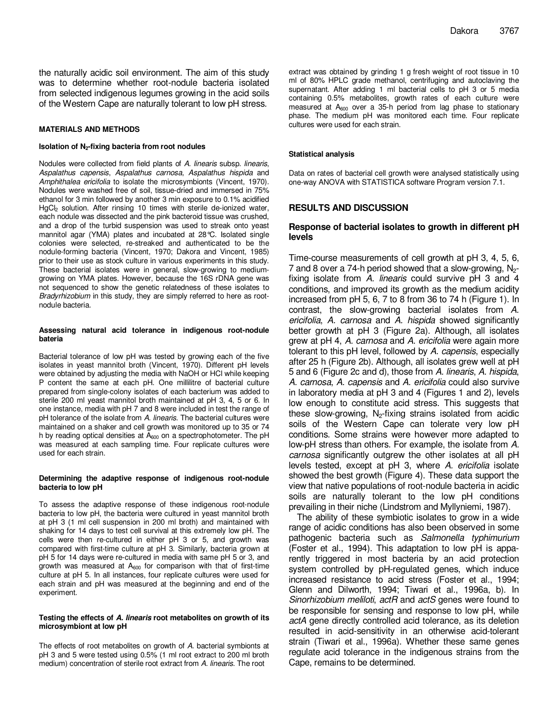the naturally acidic soil environment. The aim of this study was to determine whether root-nodule bacteria isolated from selected indigenous legumes growing in the acid soils of the Western Cape are naturally tolerant to low pH stress.

#### **MATERIALS AND METHODS**

#### **Isolation of N2-fixing bacteria from root nodules**

Nodules were collected from field plants of A. linearis subsp. linearis, Aspalathus capensis, Aspalathus carnosa, Aspalathus hispida and Amphithalea ericifolia to isolate the microsymbionts (Vincent, 1970). Nodules were washed free of soil, tissue-dried and immersed in 75% ethanol for 3 min followed by another 3 min exposure to 0.1% acidified HgCl<sub>2</sub> solution. After rinsing 10 times with sterile de-ionized water, each nodule was dissected and the pink bacteroid tissue was crushed, and a drop of the turbid suspension was used to streak onto yeast mannitol agar (YMA) plates and incubated at 28°C. Isolated single colonies were selected, re-streaked and authenticated to be the nodule-forming bacteria (Vincent, 1970; Dakora and Vincent, 1985) prior to their use as stock culture in various experiments in this study. These bacterial isolates were in general, slow-growing to mediumgrowing on YMA plates. However, because the 16S rDNA gene was not sequenced to show the genetic relatedness of these isolates to Bradyrhizobium in this study, they are simply referred to here as rootnodule bacteria.

#### **Assessing natural acid tolerance in indigenous root-nodule bateria**

Bacterial tolerance of low pH was tested by growing each of the five isolates in yeast mannitol broth (Vincent, 1970). Different pH levels were obtained by adjusting the media with NaOH or HCl while keeping P content the same at each pH. One millilitre of bacterial culture prepared from single-colony isolates of each bacterium was added to sterile 200 ml yeast mannitol broth maintained at pH 3, 4, 5 or 6. In one instance, media with pH 7 and 8 were included in test the range of pH tolerance of the isolate from A. linearis. The bacterial cultures were maintained on a shaker and cell growth was monitored up to 35 or 74 h by reading optical densities at  $A_{600}$  on a spectrophotometer. The pH was measured at each sampling time. Four replicate cultures were used for each strain.

#### **Determining the adaptive response of indigenous root-nodule bacteria to low pH**

To assess the adaptive response of these indigenous root-nodule bacteria to low pH, the bacteria were cultured in yeast mannitol broth at pH 3 (1 ml cell suspension in 200 ml broth) and maintained with shaking for 14 days to test cell survival at this extremely low pH. The cells were then re-cultured in either pH 3 or 5, and growth was compared with first-time culture at pH 3. Similarly, bacteria grown at pH 5 for 14 days were re-cultured in media with same pH 5 or 3, and growth was measured at  $A_{600}$  for comparison with that of first-time culture at pH 5. In all instances, four replicate cultures were used for each strain and pH was measured at the beginning and end of the experiment.

#### **Testing the effects of A. linearis root metabolites on growth of its microsymbiont at low pH**

The effects of root metabolites on growth of A. bacterial symbionts at pH 3 and 5 were tested using 0.5% (1 ml root extract to 200 ml broth medium) concentration of sterile root extract from A. linearis. The root

extract was obtained by grinding 1 g fresh weight of root tissue in 10 ml of 80% HPLC grade methanol, centrifuging and autoclaving the supernatant. After adding 1 ml bacterial cells to pH 3 or 5 media containing 0.5% metabolites, growth rates of each culture were measured at  $A_{600}$  over a 35-h period from lag phase to stationary phase. The medium pH was monitored each time. Four replicate cultures were used for each strain.

#### **Statistical analysis**

Data on rates of bacterial cell growth were analysed statistically using one-way ANOVA with STATISTICA software Program version 7.1.

### **RESULTS AND DISCUSSION**

## **Response of bacterial isolates to growth in different pH levels**

Time-course measurements of cell growth at pH 3, 4, 5, 6, 7 and 8 over a 74-h period showed that a slow-growing,  $N_{2}$ fixing isolate from A. linearis could survive pH 3 and 4 conditions, and improved its growth as the medium acidity increased from pH 5, 6, 7 to 8 from 36 to 74 h (Figure 1). In contrast, the slow-growing bacterial isolates from A. ericifolia, A. carnosa and A. hispida showed significantly better growth at pH 3 (Figure 2a). Although, all isolates grew at pH 4, A. carnosa and A. ericifolia were again more tolerant to this pH level, followed by A. capensis, especially after 25 h (Figure 2b). Although, all isolates grew well at pH 5 and 6 (Figure 2c and d), those from A. linearis, A. hispida, A. carnosa, A. capensis and A. ericifolia could also survive in laboratory media at pH 3 and 4 (Figures 1 and 2), levels low enough to constitute acid stress. This suggests that these slow-growing,  $N_{2}$ -fixing strains isolated from acidic soils of the Western Cape can tolerate very low pH conditions. Some strains were however more adapted to low-pH stress than others. For example, the isolate from A. carnosa significantly outgrew the other isolates at all pH levels tested, except at pH 3, where A. ericifolia isolate showed the best growth (Figure 4). These data support the view that native populations of root-nodule bacteria in acidic soils are naturally tolerant to the low pH conditions prevailing in their niche (Lindstrom and Myllyniemi, 1987).

The ability of these symbiotic isolates to grow in a wide range of acidic conditions has also been observed in some pathogenic bacteria such as Salmonella typhimurium (Foster et al., 1994). This adaptation to low pH is apparently triggered in most bacteria by an acid protection system controlled by pH-regulated genes, which induce increased resistance to acid stress (Foster et al., 1994; Glenn and Dilworth, 1994; Tiwari et al., 1996a, b). In Sinorhizobium meliloti, actR and actS genes were found to be responsible for sensing and response to low pH, while actA gene directly controlled acid tolerance, as its deletion resulted in acid-sensitivity in an otherwise acid-tolerant strain (Tiwari et al., 1996a). Whether these same genes regulate acid tolerance in the indigenous strains from the Cape, remains to be determined.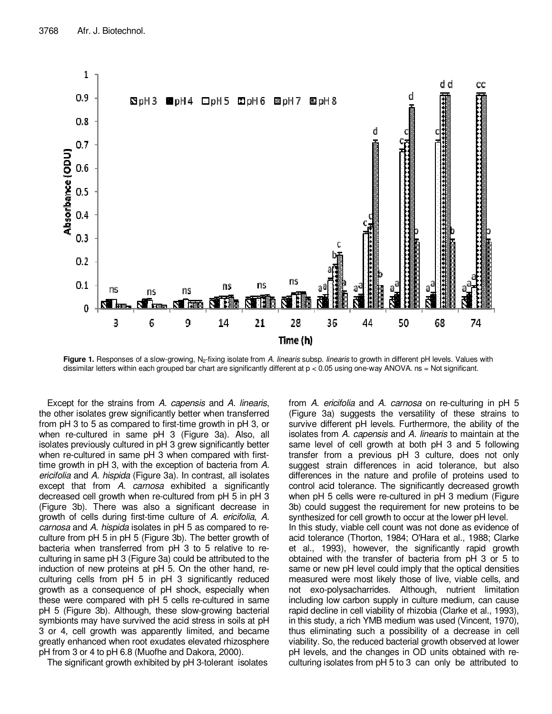

**Figure 1.** Responses of a slow-growing, N<sub>2</sub>-fixing isolate from A. linearis subsp. linearis to growth in different pH levels. Values with dissimilar letters within each grouped bar chart are significantly different at p < 0.05 using one-way ANOVA. ns = Not significant.

Except for the strains from A. capensis and A. linearis, the other isolates grew significantly better when transferred from pH 3 to 5 as compared to first-time growth in pH 3, or when re-cultured in same pH 3 (Figure 3a). Also, all isolates previously cultured in pH 3 grew significantly better when re-cultured in same pH 3 when compared with firsttime growth in pH 3, with the exception of bacteria from A. ericifolia and A. hispida (Figure 3a). In contrast, all isolates except that from A. carnosa exhibited a significantly decreased cell growth when re-cultured from pH 5 in pH 3 (Figure 3b). There was also a significant decrease in growth of cells during first-time culture of A. ericifolia, A. carnosa and A. hispida isolates in pH 5 as compared to reculture from pH 5 in pH 5 (Figure 3b). The better growth of bacteria when transferred from pH 3 to 5 relative to reculturing in same pH 3 (Figure 3a) could be attributed to the induction of new proteins at pH 5. On the other hand, reculturing cells from pH 5 in pH 3 significantly reduced growth as a consequence of pH shock, especially when these were compared with pH 5 cells re-cultured in same pH 5 (Figure 3b). Although, these slow-growing bacterial symbionts may have survived the acid stress in soils at pH 3 or 4, cell growth was apparently limited, and became greatly enhanced when root exudates elevated rhizosphere pH from 3 or 4 to pH 6.8 (Muofhe and Dakora, 2000).

The significant growth exhibited by pH 3-tolerant isolates

from A. ericifolia and A. carnosa on re-culturing in pH 5 (Figure 3a) suggests the versatility of these strains to survive different pH levels. Furthermore, the ability of the isolates from A. capensis and A. linearis to maintain at the same level of cell growth at both pH 3 and 5 following transfer from a previous pH 3 culture, does not only suggest strain differences in acid tolerance, but also differences in the nature and profile of proteins used to control acid tolerance. The significantly decreased growth when pH 5 cells were re-cultured in pH 3 medium (Figure 3b) could suggest the requirement for new proteins to be synthesized for cell growth to occur at the lower pH level. In this study, viable cell count was not done as evidence of acid tolerance (Thorton, 1984; O'Hara et al., 1988; Clarke et al., 1993), however, the significantly rapid growth obtained with the transfer of bacteria from pH 3 or 5 to same or new pH level could imply that the optical densities measured were most likely those of live, viable cells, and not exo-polysacharrides. Although, nutrient limitation including low carbon supply in culture medium, can cause rapid decline in cell viability of rhizobia (Clarke et al., 1993), in this study, a rich YMB medium was used (Vincent, 1970), thus eliminating such a possibility of a decrease in cell viability. So, the reduced bacterial growth observed at lower pH levels, and the changes in OD units obtained with reculturing isolates from pH 5 to 3 can only be attributed to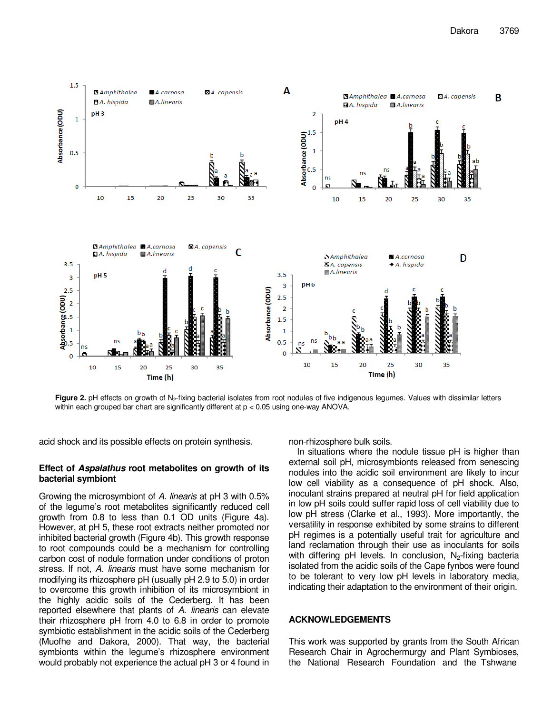

Figure 2. pH effects on growth of N<sub>2</sub>-fixing bacterial isolates from root nodules of five indigenous legumes. Values with dissimilar letters within each grouped bar chart are significantly different at p < 0.05 using one-way ANOVA.

acid shock and its possible effects on protein synthesis.

# **Effect of Aspalathus root metabolites on growth of its bacterial symbiont**

Growing the microsymbiont of A. linearis at pH 3 with 0.5% of the legume's root metabolites significantly reduced cell growth from 0.8 to less than 0.1 OD units (Figure 4a). However, at pH 5, these root extracts neither promoted nor inhibited bacterial growth (Figure 4b). This growth response to root compounds could be a mechanism for controlling carbon cost of nodule formation under conditions of proton stress. If not, A. linearis must have some mechanism for modifying its rhizosphere pH (usually pH 2.9 to 5.0) in order to overcome this growth inhibition of its microsymbiont in the highly acidic soils of the Cederberg. It has been reported elsewhere that plants of A. linearis can elevate their rhizosphere pH from 4.0 to 6.8 in order to promote symbiotic establishment in the acidic soils of the Cederberg (Muofhe and Dakora, 2000). That way, the bacterial symbionts within the legume's rhizosphere environment would probably not experience the actual pH 3 or 4 found in non-rhizosphere bulk soils.

In situations where the nodule tissue pH is higher than external soil pH, microsymbionts released from senescing nodules into the acidic soil environment are likely to incur low cell viability as a consequence of pH shock. Also, inoculant strains prepared at neutral pH for field application in low pH soils could suffer rapid loss of cell viability due to low pH stress (Clarke et al., 1993). More importantly, the versatility in response exhibited by some strains to different pH regimes is a potentially useful trait for agriculture and land reclamation through their use as inoculants for soils with differing pH levels. In conclusion,  $N_2$ -fixing bacteria isolated from the acidic soils of the Cape fynbos were found to be tolerant to very low pH levels in laboratory media, indicating their adaptation to the environment of their origin.

## **ACKNOWLEDGEMENTS**

This work was supported by grants from the South African Research Chair in Agrochermurgy and Plant Symbioses, the National Research Foundation and the Tshwane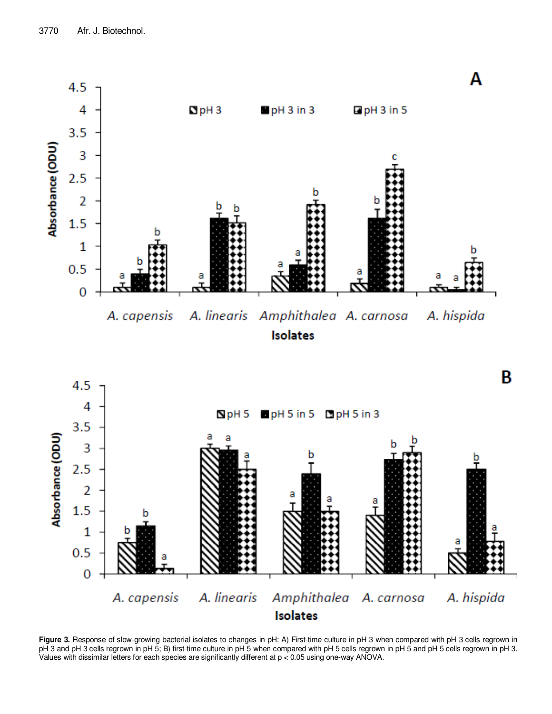

**Figure 3.** Response of slow-growing bacterial isolates to changes in pH: A) First-time culture in pH 3 when compared with pH 3 cells regrown in pH 3 and pH 3 cells regrown in pH 5; B) first-time culture in pH 5 when compared with pH 5 cells regrown in pH 5 and pH 5 cells regrown in pH 3. Values with dissimilar letters for each species are significantly different at p < 0.05 using one-way ANOVA.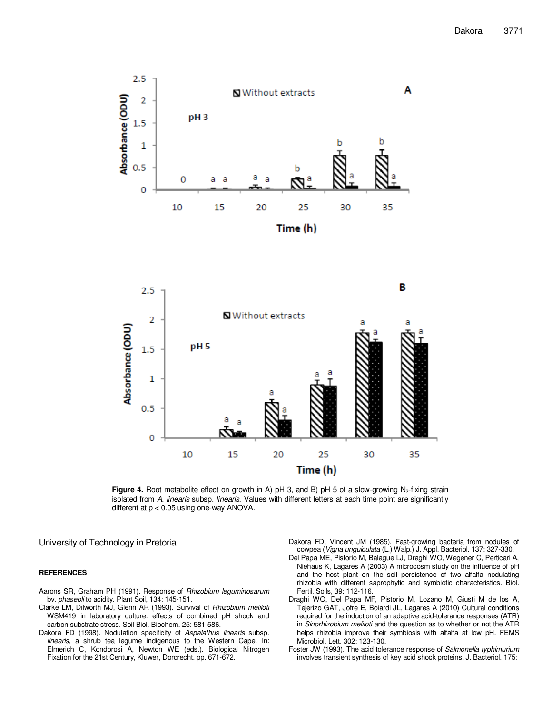



Figure 4. Root metabolite effect on growth in A) pH 3, and B) pH 5 of a slow-growing N<sub>2</sub>-fixing strain isolated from A. linearis subsp. linearis. Values with different letters at each time point are significantly different at p < 0.05 using one-way ANOVA.

University of Technology in Pretoria.

#### **REFERENCES**

- Aarons SR, Graham PH (1991). Response of Rhizobium leguminosarum bv. phaseoli to acidity. Plant Soil, 134: 145-151.
- Clarke LM, Dilworth MJ, Glenn AR (1993). Survival of Rhizobium meliloti WSM419 in laboratory culture: effects of combined pH shock and carbon substrate stress. Soil Biol. Biochem. 25: 581-586.
- Dakora FD (1998). Nodulation specificity of Aspalathus linearis subsp. linearis, a shrub tea legume indigenous to the Western Cape. In: Elmerich C, Kondorosi A, Newton WE (eds.). Biological Nitrogen Fixation for the 21st Century, Kluwer, Dordrecht. pp. 671-672.
- Dakora FD, Vincent JM (1985). Fast-growing bacteria from nodules of cowpea (Vigna unguiculata (L.) Walp.) J. Appl. Bacteriol. 137: 327-330.
- Del Papa ME, Pistorio M, Balague LJ, Draghi WO, Wegener C, Perticari A, Niehaus K, Lagares A (2003) A microcosm study on the influence of pH and the host plant on the soil persistence of two alfalfa nodulating rhizobia with different saprophytic and symbiotic characteristics. Biol. Fertil. Soils, 39: 112-116.
- Draghi WO, Del Papa MF, Pistorio M, Lozano M, Giusti M de los A, Tejerizo GAT, Jofre E, Boiardi JL, Lagares A (2010) Cultural conditions required for the induction of an adaptive acid-tolerance responses (ATR) in Sinorhizobium meliloti and the question as to whether or not the ATR helps rhizobia improve their symbiosis with alfalfa at low pH. FEMS Microbiol. Lett. 302: 123-130.
- Foster JW (1993). The acid tolerance response of Salmonella typhimurium involves transient synthesis of key acid shock proteins. J. Bacteriol. 175: